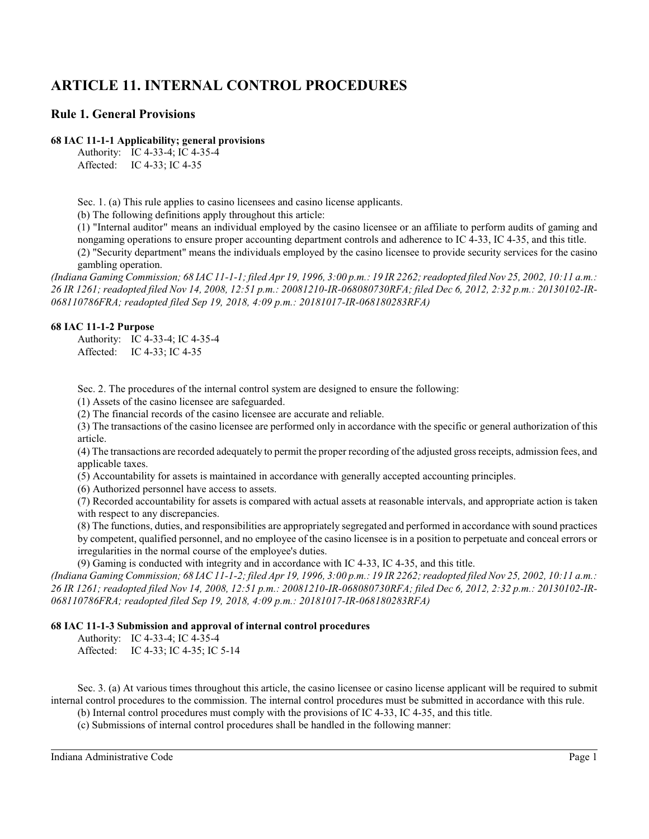# **ARTICLE 11. INTERNAL CONTROL PROCEDURES**

# **Rule 1. General Provisions**

## **68 IAC 11-1-1 Applicability; general provisions**

Authority: IC 4-33-4; IC 4-35-4 Affected: IC 4-33; IC 4-35

Sec. 1. (a) This rule applies to casino licensees and casino license applicants.

(b) The following definitions apply throughout this article:

(1) "Internal auditor" means an individual employed by the casino licensee or an affiliate to perform audits of gaming and nongaming operations to ensure proper accounting department controls and adherence to IC 4-33, IC 4-35, and this title.

(2) "Security department" means the individuals employed by the casino licensee to provide security services for the casino gambling operation.

*(Indiana Gaming Commission; 68 IAC 11-1-1; filed Apr 19, 1996, 3:00 p.m.: 19 IR 2262; readopted filed Nov 25, 2002, 10:11 a.m.: 26 IR 1261; readopted filed Nov 14, 2008, 12:51 p.m.: 20081210-IR-068080730RFA; filed Dec 6, 2012, 2:32 p.m.: 20130102-IR-068110786FRA; readopted filed Sep 19, 2018, 4:09 p.m.: 20181017-IR-068180283RFA)*

## **68 IAC 11-1-2 Purpose**

Authority: IC 4-33-4; IC 4-35-4 Affected: IC 4-33; IC 4-35

Sec. 2. The procedures of the internal control system are designed to ensure the following:

(1) Assets of the casino licensee are safeguarded.

(2) The financial records of the casino licensee are accurate and reliable.

(3) The transactions of the casino licensee are performed only in accordance with the specific or general authorization of this article.

(4) The transactions are recorded adequately to permit the proper recording of the adjusted gross receipts, admission fees, and applicable taxes.

(5) Accountability for assets is maintained in accordance with generally accepted accounting principles.

(6) Authorized personnel have access to assets.

(7) Recorded accountability for assets is compared with actual assets at reasonable intervals, and appropriate action is taken with respect to any discrepancies.

(8) The functions, duties, and responsibilities are appropriately segregated and performed in accordance with sound practices by competent, qualified personnel, and no employee of the casino licensee is in a position to perpetuate and conceal errors or irregularities in the normal course of the employee's duties.

(9) Gaming is conducted with integrity and in accordance with IC 4-33, IC 4-35, and this title.

*(Indiana Gaming Commission; 68 IAC 11-1-2; filed Apr 19, 1996, 3:00 p.m.: 19 IR 2262; readopted filed Nov 25, 2002, 10:11 a.m.: 26 IR 1261; readopted filed Nov 14, 2008, 12:51 p.m.: 20081210-IR-068080730RFA; filed Dec 6, 2012, 2:32 p.m.: 20130102-IR-068110786FRA; readopted filed Sep 19, 2018, 4:09 p.m.: 20181017-IR-068180283RFA)*

## **68 IAC 11-1-3 Submission and approval of internal control procedures**

Authority: IC 4-33-4; IC 4-35-4

Affected: IC 4-33; IC 4-35; IC 5-14

Sec. 3. (a) At various times throughout this article, the casino licensee or casino license applicant will be required to submit internal control procedures to the commission. The internal control procedures must be submitted in accordance with this rule.

(b) Internal control procedures must comply with the provisions of IC 4-33, IC 4-35, and this title.

(c) Submissions of internal control procedures shall be handled in the following manner: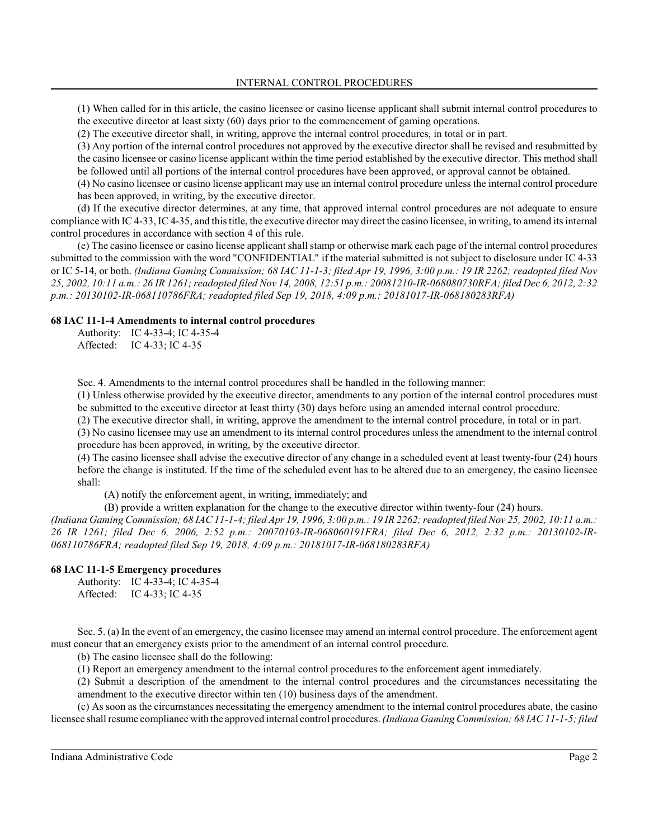(1) When called for in this article, the casino licensee or casino license applicant shall submit internal control procedures to the executive director at least sixty (60) days prior to the commencement of gaming operations.

(2) The executive director shall, in writing, approve the internal control procedures, in total or in part.

(3) Any portion of the internal control procedures not approved by the executive director shall be revised and resubmitted by the casino licensee or casino license applicant within the time period established by the executive director. This method shall be followed until all portions of the internal control procedures have been approved, or approval cannot be obtained.

(4) No casino licensee or casino license applicant may use an internal control procedure unless the internal control procedure has been approved, in writing, by the executive director.

(d) If the executive director determines, at any time, that approved internal control procedures are not adequate to ensure compliance with IC 4-33, IC 4-35, and thistitle, the executive director may direct the casino licensee, in writing, to amend its internal control procedures in accordance with section 4 of this rule.

(e) The casino licensee or casino license applicant shall stamp or otherwise mark each page of the internal control procedures submitted to the commission with the word "CONFIDENTIAL" if the material submitted is not subject to disclosure under IC 4-33 or IC 5-14, or both. *(Indiana Gaming Commission; 68 IAC 11-1-3; filed Apr 19, 1996, 3:00 p.m.: 19 IR 2262; readopted filed Nov 25, 2002, 10:11 a.m.: 26 IR 1261; readopted filed Nov 14, 2008, 12:51 p.m.: 20081210-IR-068080730RFA; filed Dec 6, 2012, 2:32 p.m.: 20130102-IR-068110786FRA; readopted filed Sep 19, 2018, 4:09 p.m.: 20181017-IR-068180283RFA)*

## **68 IAC 11-1-4 Amendments to internal control procedures**

Authority: IC 4-33-4; IC 4-35-4 Affected: IC 4-33; IC 4-35

Sec. 4. Amendments to the internal control procedures shall be handled in the following manner:

(1) Unless otherwise provided by the executive director, amendments to any portion of the internal control procedures must be submitted to the executive director at least thirty (30) days before using an amended internal control procedure.

(2) The executive director shall, in writing, approve the amendment to the internal control procedure, in total or in part.

(3) No casino licensee may use an amendment to its internal control procedures unless the amendment to the internal control procedure has been approved, in writing, by the executive director.

(4) The casino licensee shall advise the executive director of any change in a scheduled event at least twenty-four (24) hours before the change is instituted. If the time of the scheduled event has to be altered due to an emergency, the casino licensee shall:

(A) notify the enforcement agent, in writing, immediately; and

(B) provide a written explanation for the change to the executive director within twenty-four (24) hours.

*(Indiana Gaming Commission; 68 IAC 11-1-4; filed Apr 19, 1996, 3:00 p.m.: 19 IR 2262; readopted filed Nov 25, 2002, 10:11 a.m.: 26 IR 1261; filed Dec 6, 2006, 2:52 p.m.: 20070103-IR-068060191FRA; filed Dec 6, 2012, 2:32 p.m.: 20130102-IR-068110786FRA; readopted filed Sep 19, 2018, 4:09 p.m.: 20181017-IR-068180283RFA)*

## **68 IAC 11-1-5 Emergency procedures**

Authority: IC 4-33-4; IC 4-35-4 Affected: IC 4-33; IC 4-35

Sec. 5. (a) In the event of an emergency, the casino licensee may amend an internal control procedure. The enforcement agent must concur that an emergency exists prior to the amendment of an internal control procedure.

(b) The casino licensee shall do the following:

(1) Report an emergency amendment to the internal control procedures to the enforcement agent immediately.

(2) Submit a description of the amendment to the internal control procedures and the circumstances necessitating the amendment to the executive director within ten (10) business days of the amendment.

(c) As soon as the circumstances necessitating the emergency amendment to the internal control procedures abate, the casino licensee shall resume compliance with the approved internal control procedures. *(Indiana Gaming Commission; 68 IAC 11-1-5; filed*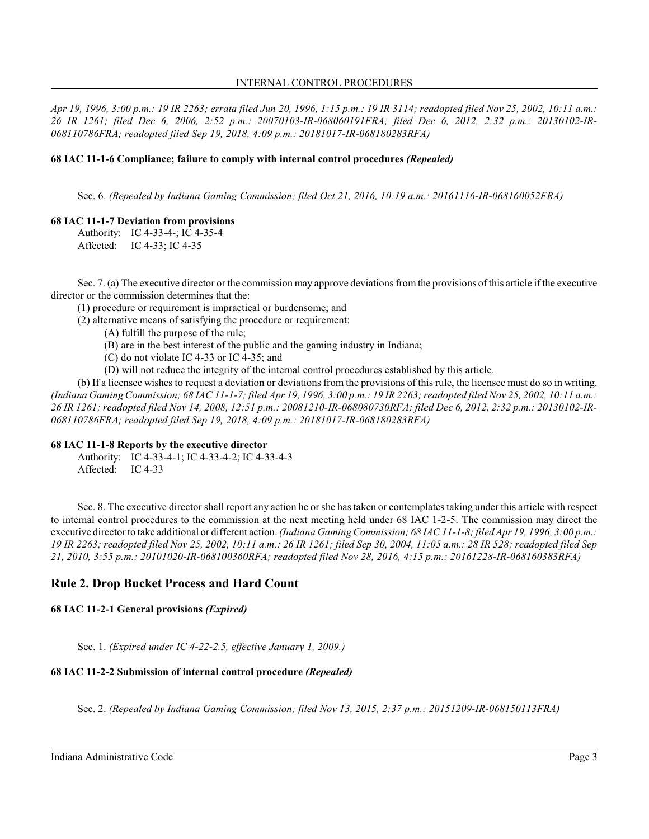*Apr 19, 1996, 3:00 p.m.: 19 IR 2263; errata filed Jun 20, 1996, 1:15 p.m.: 19 IR 3114; readopted filed Nov 25, 2002, 10:11 a.m.: 26 IR 1261; filed Dec 6, 2006, 2:52 p.m.: 20070103-IR-068060191FRA; filed Dec 6, 2012, 2:32 p.m.: 20130102-IR-068110786FRA; readopted filed Sep 19, 2018, 4:09 p.m.: 20181017-IR-068180283RFA)*

## **68 IAC 11-1-6 Compliance; failure to comply with internal control procedures** *(Repealed)*

Sec. 6. *(Repealed by Indiana Gaming Commission; filed Oct 21, 2016, 10:19 a.m.: 20161116-IR-068160052FRA)*

## **68 IAC 11-1-7 Deviation from provisions**

Authority: IC 4-33-4-; IC 4-35-4 Affected: IC 4-33; IC 4-35

Sec. 7. (a) The executive director or the commission may approve deviations from the provisions of this article if the executive director or the commission determines that the:

(1) procedure or requirement is impractical or burdensome; and

(2) alternative means of satisfying the procedure or requirement:

(A) fulfill the purpose of the rule;

- (B) are in the best interest of the public and the gaming industry in Indiana;
- (C) do not violate IC 4-33 or IC 4-35; and
- (D) will not reduce the integrity of the internal control procedures established by this article.

(b) If a licensee wishes to request a deviation or deviations from the provisions of thisrule, the licensee must do so in writing. *(Indiana Gaming Commission; 68 IAC 11-1-7; filed Apr 19, 1996, 3:00 p.m.: 19 IR 2263; readopted filed Nov 25, 2002, 10:11 a.m.: 26 IR 1261; readopted filed Nov 14, 2008, 12:51 p.m.: 20081210-IR-068080730RFA; filed Dec 6, 2012, 2:32 p.m.: 20130102-IR-068110786FRA; readopted filed Sep 19, 2018, 4:09 p.m.: 20181017-IR-068180283RFA)*

## **68 IAC 11-1-8 Reports by the executive director**

Authority: IC 4-33-4-1; IC 4-33-4-2; IC 4-33-4-3 Affected: IC 4-33

Sec. 8. The executive director shall report any action he or she has taken or contemplates taking under this article with respect to internal control procedures to the commission at the next meeting held under 68 IAC 1-2-5. The commission may direct the executive director to take additional or different action. *(Indiana Gaming Commission; 68 IAC 11-1-8; filed Apr 19, 1996, 3:00 p.m.: 19 IR 2263; readopted filed Nov 25, 2002, 10:11 a.m.: 26 IR 1261; filed Sep 30, 2004, 11:05 a.m.: 28 IR 528; readopted filed Sep 21, 2010, 3:55 p.m.: 20101020-IR-068100360RFA; readopted filed Nov 28, 2016, 4:15 p.m.: 20161228-IR-068160383RFA)*

# **Rule 2. Drop Bucket Process and Hard Count**

## **68 IAC 11-2-1 General provisions** *(Expired)*

Sec. 1. *(Expired under IC 4-22-2.5, effective January 1, 2009.)*

## **68 IAC 11-2-2 Submission of internal control procedure** *(Repealed)*

Sec. 2. *(Repealed by Indiana Gaming Commission; filed Nov 13, 2015, 2:37 p.m.: 20151209-IR-068150113FRA)*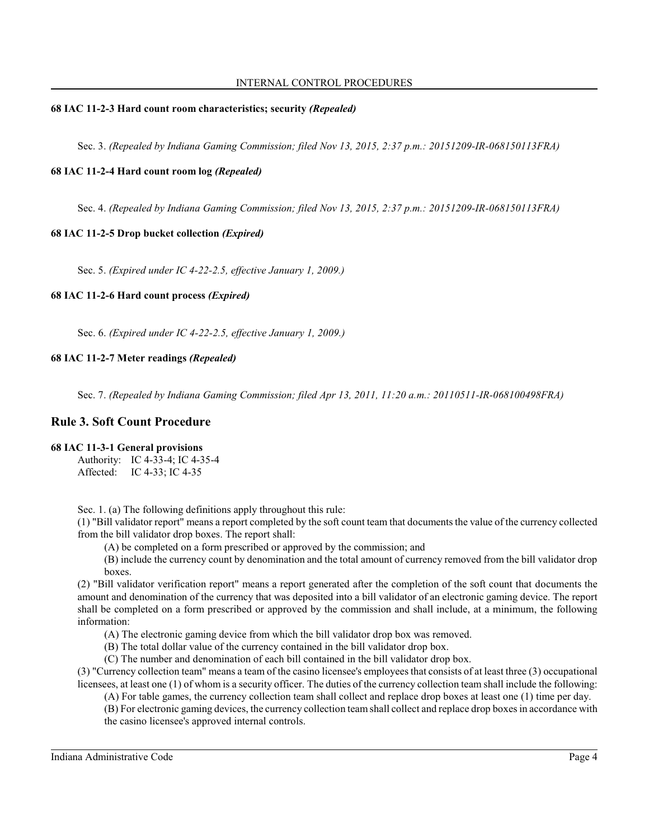## **68 IAC 11-2-3 Hard count room characteristics; security** *(Repealed)*

Sec. 3. *(Repealed by Indiana Gaming Commission; filed Nov 13, 2015, 2:37 p.m.: 20151209-IR-068150113FRA)*

## **68 IAC 11-2-4 Hard count room log** *(Repealed)*

Sec. 4. *(Repealed by Indiana Gaming Commission; filed Nov 13, 2015, 2:37 p.m.: 20151209-IR-068150113FRA)*

## **68 IAC 11-2-5 Drop bucket collection** *(Expired)*

Sec. 5. *(Expired under IC 4-22-2.5, effective January 1, 2009.)*

## **68 IAC 11-2-6 Hard count process** *(Expired)*

Sec. 6. *(Expired under IC 4-22-2.5, effective January 1, 2009.)*

## **68 IAC 11-2-7 Meter readings** *(Repealed)*

Sec. 7. *(Repealed by Indiana Gaming Commission; filed Apr 13, 2011, 11:20 a.m.: 20110511-IR-068100498FRA)*

# **Rule 3. Soft Count Procedure**

## **68 IAC 11-3-1 General provisions**

Authority: IC 4-33-4; IC 4-35-4 Affected: IC 4-33; IC 4-35

Sec. 1. (a) The following definitions apply throughout this rule:

(1) "Bill validator report" means a report completed by the soft count team that documents the value of the currency collected from the bill validator drop boxes. The report shall:

(A) be completed on a form prescribed or approved by the commission; and

(B) include the currency count by denomination and the total amount of currency removed from the bill validator drop boxes.

(2) "Bill validator verification report" means a report generated after the completion of the soft count that documents the amount and denomination of the currency that was deposited into a bill validator of an electronic gaming device. The report shall be completed on a form prescribed or approved by the commission and shall include, at a minimum, the following information:

(A) The electronic gaming device from which the bill validator drop box was removed.

(B) The total dollar value of the currency contained in the bill validator drop box.

(C) The number and denomination of each bill contained in the bill validator drop box.

(3) "Currency collection team" means a team of the casino licensee's employees that consists of at least three (3) occupational licensees, at least one (1) of whom is a security officer. The duties of the currency collection team shall include the following:

(A) For table games, the currency collection team shall collect and replace drop boxes at least one (1) time per day.

(B) For electronic gaming devices, the currency collection team shall collect and replace drop boxes in accordance with the casino licensee's approved internal controls.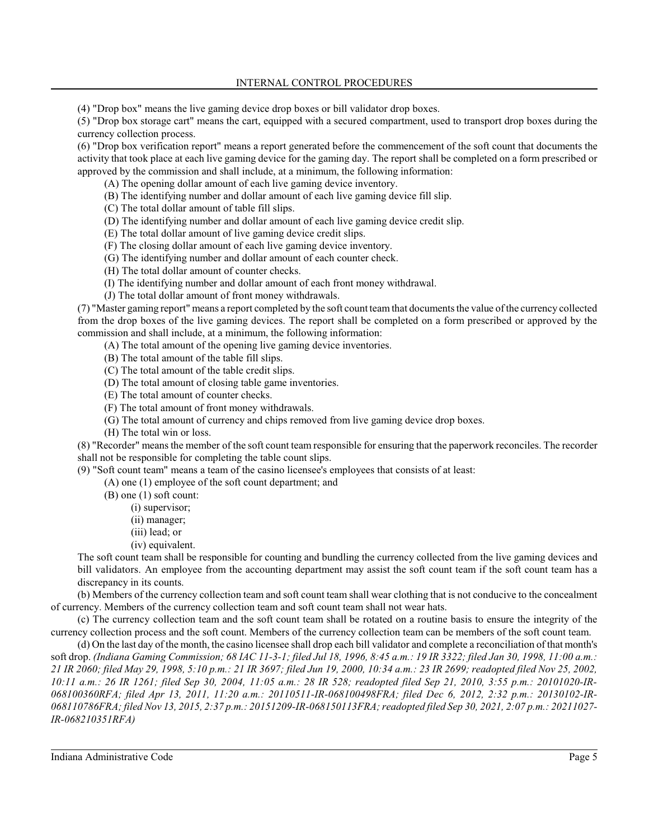(4) "Drop box" means the live gaming device drop boxes or bill validator drop boxes.

(5) "Drop box storage cart" means the cart, equipped with a secured compartment, used to transport drop boxes during the currency collection process.

(6) "Drop box verification report" means a report generated before the commencement of the soft count that documents the activity that took place at each live gaming device for the gaming day. The report shall be completed on a form prescribed or approved by the commission and shall include, at a minimum, the following information:

(A) The opening dollar amount of each live gaming device inventory.

(B) The identifying number and dollar amount of each live gaming device fill slip.

(C) The total dollar amount of table fill slips.

(D) The identifying number and dollar amount of each live gaming device credit slip.

(E) The total dollar amount of live gaming device credit slips.

(F) The closing dollar amount of each live gaming device inventory.

(G) The identifying number and dollar amount of each counter check.

(H) The total dollar amount of counter checks.

(I) The identifying number and dollar amount of each front money withdrawal.

(J) The total dollar amount of front money withdrawals.

(7) "Master gaming report" means a report completed by the soft count teamthat documents the value of the currency collected from the drop boxes of the live gaming devices. The report shall be completed on a form prescribed or approved by the commission and shall include, at a minimum, the following information:

(A) The total amount of the opening live gaming device inventories.

(B) The total amount of the table fill slips.

(C) The total amount of the table credit slips.

(D) The total amount of closing table game inventories.

(E) The total amount of counter checks.

(F) The total amount of front money withdrawals.

(G) The total amount of currency and chips removed from live gaming device drop boxes.

(H) The total win or loss.

(8) "Recorder" means the member of the soft count team responsible for ensuring that the paperwork reconciles. The recorder shall not be responsible for completing the table count slips.

(9) "Soft count team" means a team of the casino licensee's employees that consists of at least:

(A) one (1) employee of the soft count department; and

(B) one (1) soft count:

- (i) supervisor;
- (ii) manager;
- (iii) lead; or
- (iv) equivalent.

The soft count team shall be responsible for counting and bundling the currency collected from the live gaming devices and bill validators. An employee from the accounting department may assist the soft count team if the soft count team has a discrepancy in its counts.

(b) Members of the currency collection team and soft count team shall wear clothing that is not conducive to the concealment of currency. Members of the currency collection team and soft count team shall not wear hats.

(c) The currency collection team and the soft count team shall be rotated on a routine basis to ensure the integrity of the currency collection process and the soft count. Members of the currency collection team can be members of the soft count team.

(d) On the last day of the month, the casino licensee shall drop each bill validator and complete a reconciliation of that month's soft drop. *(Indiana Gaming Commission; 68 IAC 11-3-1; filed Jul 18, 1996, 8:45 a.m.: 19 IR 3322; filed Jan 30, 1998, 11:00 a.m.: 21 IR 2060; filed May 29, 1998, 5:10 p.m.: 21 IR 3697; filed Jun 19, 2000, 10:34 a.m.: 23 IR 2699; readopted filed Nov 25, 2002, 10:11 a.m.: 26 IR 1261; filed Sep 30, 2004, 11:05 a.m.: 28 IR 528; readopted filed Sep 21, 2010, 3:55 p.m.: 20101020-IR-068100360RFA; filed Apr 13, 2011, 11:20 a.m.: 20110511-IR-068100498FRA; filed Dec 6, 2012, 2:32 p.m.: 20130102-IR-068110786FRA; filed Nov 13, 2015, 2:37 p.m.: 20151209-IR-068150113FRA; readopted filed Sep 30, 2021, 2:07 p.m.: 20211027- IR-068210351RFA)*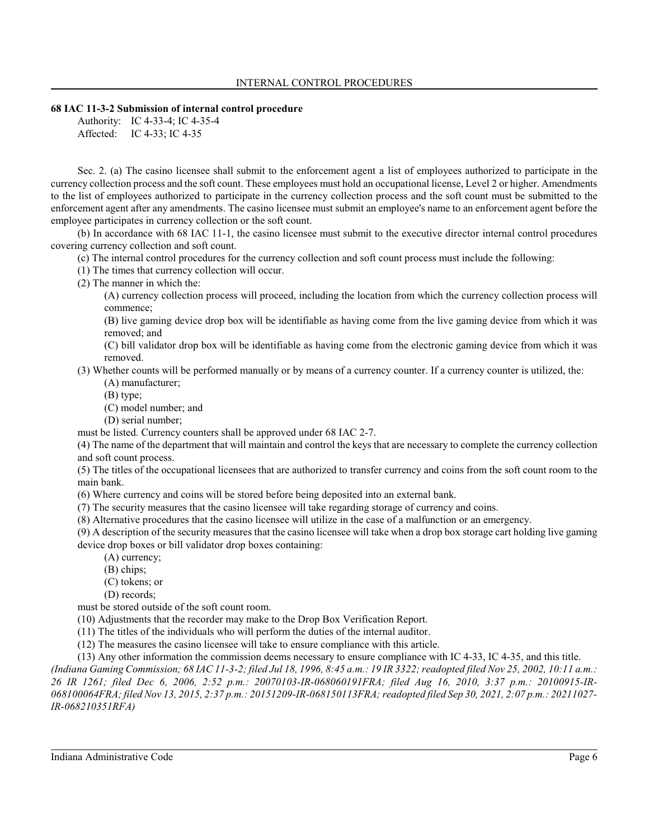#### **68 IAC 11-3-2 Submission of internal control procedure**

Authority: IC 4-33-4; IC 4-35-4 Affected: IC 4-33; IC 4-35

Sec. 2. (a) The casino licensee shall submit to the enforcement agent a list of employees authorized to participate in the currency collection process and the soft count. These employees must hold an occupational license, Level 2 or higher. Amendments to the list of employees authorized to participate in the currency collection process and the soft count must be submitted to the enforcement agent after any amendments. The casino licensee must submit an employee's name to an enforcement agent before the employee participates in currency collection or the soft count.

(b) In accordance with 68 IAC 11-1, the casino licensee must submit to the executive director internal control procedures covering currency collection and soft count.

(c) The internal control procedures for the currency collection and soft count process must include the following:

(1) The times that currency collection will occur.

(2) The manner in which the:

(A) currency collection process will proceed, including the location from which the currency collection process will commence;

(B) live gaming device drop box will be identifiable as having come from the live gaming device from which it was removed; and

(C) bill validator drop box will be identifiable as having come from the electronic gaming device from which it was removed.

(3) Whether counts will be performed manually or by means of a currency counter. If a currency counter is utilized, the:

(A) manufacturer;

(B) type;

(C) model number; and

(D) serial number;

must be listed. Currency counters shall be approved under 68 IAC 2-7.

(4) The name of the department that will maintain and control the keys that are necessary to complete the currency collection and soft count process.

(5) The titles of the occupational licensees that are authorized to transfer currency and coins from the soft count room to the main bank.

(6) Where currency and coins will be stored before being deposited into an external bank.

(7) The security measures that the casino licensee will take regarding storage of currency and coins.

(8) Alternative procedures that the casino licensee will utilize in the case of a malfunction or an emergency.

(9) A description of the security measures that the casino licensee will take when a drop box storage cart holding live gaming device drop boxes or bill validator drop boxes containing:

(A) currency;

(B) chips;

(C) tokens; or

(D) records;

must be stored outside of the soft count room.

(10) Adjustments that the recorder may make to the Drop Box Verification Report.

(11) The titles of the individuals who will perform the duties of the internal auditor.

(12) The measures the casino licensee will take to ensure compliance with this article.

(13) Any other information the commission deems necessary to ensure compliance with IC 4-33, IC 4-35, and this title.

*(Indiana Gaming Commission; 68 IAC 11-3-2; filed Jul 18, 1996, 8:45 a.m.: 19 IR 3322; readopted filed Nov 25, 2002, 10:11 a.m.: 26 IR 1261; filed Dec 6, 2006, 2:52 p.m.: 20070103-IR-068060191FRA; filed Aug 16, 2010, 3:37 p.m.: 20100915-IR-068100064FRA; filed Nov 13, 2015, 2:37 p.m.: 20151209-IR-068150113FRA; readopted filed Sep 30, 2021, 2:07 p.m.: 20211027- IR-068210351RFA)*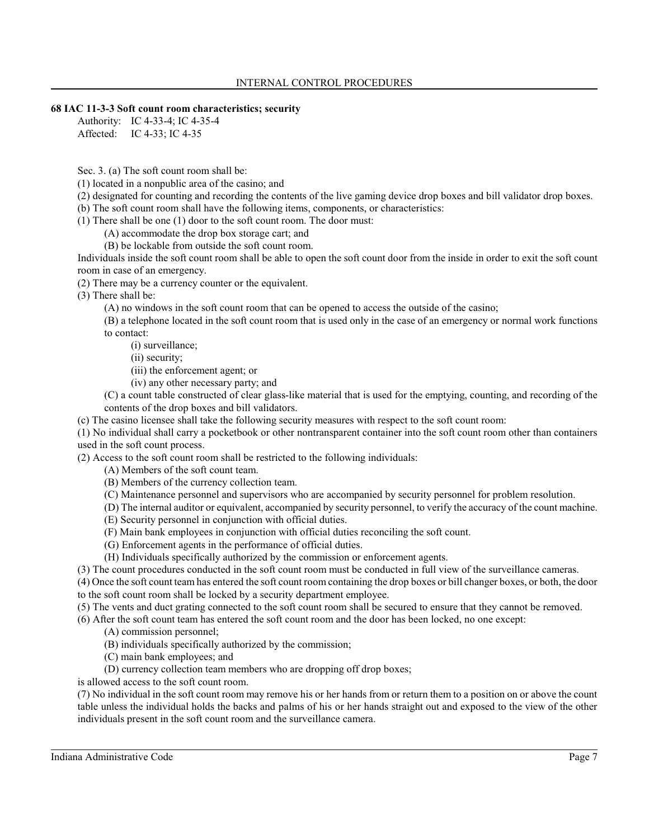#### **68 IAC 11-3-3 Soft count room characteristics; security**

Authority: IC 4-33-4; IC 4-35-4 Affected: IC 4-33; IC 4-35

Sec. 3. (a) The soft count room shall be:

(1) located in a nonpublic area of the casino; and

(2) designated for counting and recording the contents of the live gaming device drop boxes and bill validator drop boxes.

(b) The soft count room shall have the following items, components, or characteristics:

(1) There shall be one (1) door to the soft count room. The door must:

(A) accommodate the drop box storage cart; and

(B) be lockable from outside the soft count room.

Individuals inside the soft count room shall be able to open the soft count door from the inside in order to exit the soft count room in case of an emergency.

(2) There may be a currency counter or the equivalent.

(3) There shall be:

(A) no windows in the soft count room that can be opened to access the outside of the casino;

(B) a telephone located in the soft count room that is used only in the case of an emergency or normal work functions to contact:

(i) surveillance;

(ii) security;

(iii) the enforcement agent; or

(iv) any other necessary party; and

(C) a count table constructed of clear glass-like material that is used for the emptying, counting, and recording of the contents of the drop boxes and bill validators.

(c) The casino licensee shall take the following security measures with respect to the soft count room:

(1) No individual shall carry a pocketbook or other nontransparent container into the soft count room other than containers used in the soft count process.

(2) Access to the soft count room shall be restricted to the following individuals:

(A) Members of the soft count team.

(B) Members of the currency collection team.

(C) Maintenance personnel and supervisors who are accompanied by security personnel for problem resolution.

(D) The internal auditor or equivalent, accompanied by security personnel, to verify the accuracy of the count machine.

- (E) Security personnel in conjunction with official duties.
- (F) Main bank employees in conjunction with official duties reconciling the soft count.
- (G) Enforcement agents in the performance of official duties.
- (H) Individuals specifically authorized by the commission or enforcement agents.

(3) The count procedures conducted in the soft count room must be conducted in full view of the surveillance cameras.

(4) Once the soft count team has entered the soft count room containing the drop boxes or bill changer boxes, or both, the door to the soft count room shall be locked by a security department employee.

(5) The vents and duct grating connected to the soft count room shall be secured to ensure that they cannot be removed.

(6) After the soft count team has entered the soft count room and the door has been locked, no one except:

- (A) commission personnel;
- (B) individuals specifically authorized by the commission;
- (C) main bank employees; and
- (D) currency collection team members who are dropping off drop boxes;

is allowed access to the soft count room.

(7) No individual in the soft count room may remove his or her hands from or return them to a position on or above the count table unless the individual holds the backs and palms of his or her hands straight out and exposed to the view of the other individuals present in the soft count room and the surveillance camera.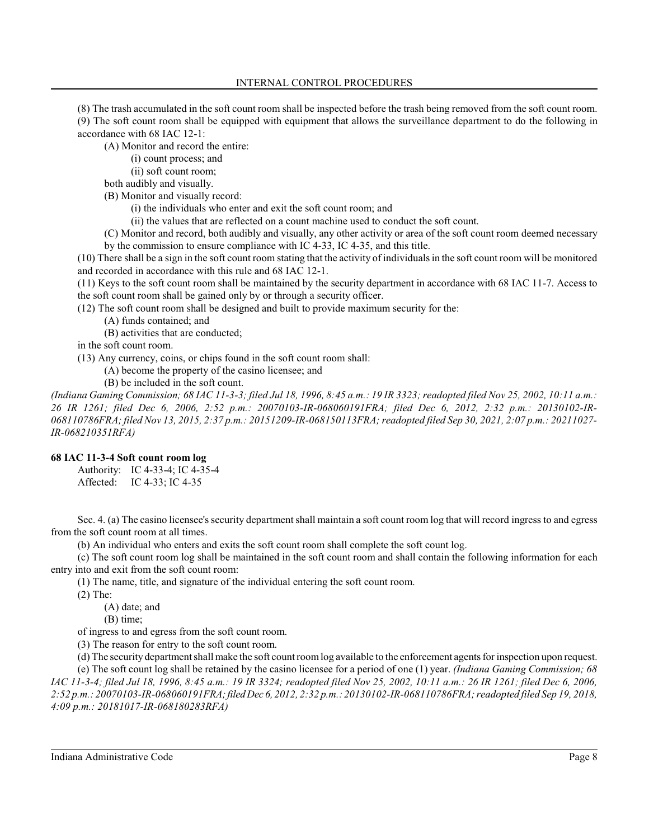(8) The trash accumulated in the soft count room shall be inspected before the trash being removed from the soft count room. (9) The soft count room shall be equipped with equipment that allows the surveillance department to do the following in accordance with 68 IAC 12-1:

(A) Monitor and record the entire:

(i) count process; and

(ii) soft count room;

both audibly and visually.

(B) Monitor and visually record:

(i) the individuals who enter and exit the soft count room; and

(ii) the values that are reflected on a count machine used to conduct the soft count.

(C) Monitor and record, both audibly and visually, any other activity or area of the soft count room deemed necessary by the commission to ensure compliance with IC 4-33, IC 4-35, and this title.

(10) There shall be a sign in the soft count room stating that the activity of individualsin the soft count room will be monitored and recorded in accordance with this rule and 68 IAC 12-1.

(11) Keys to the soft count room shall be maintained by the security department in accordance with 68 IAC 11-7. Access to the soft count room shall be gained only by or through a security officer.

(12) The soft count room shall be designed and built to provide maximum security for the:

(A) funds contained; and

(B) activities that are conducted;

in the soft count room.

(13) Any currency, coins, or chips found in the soft count room shall:

(A) become the property of the casino licensee; and

(B) be included in the soft count.

*(Indiana Gaming Commission; 68 IAC 11-3-3; filed Jul 18, 1996, 8:45 a.m.: 19 IR 3323; readopted filed Nov 25, 2002, 10:11 a.m.: 26 IR 1261; filed Dec 6, 2006, 2:52 p.m.: 20070103-IR-068060191FRA; filed Dec 6, 2012, 2:32 p.m.: 20130102-IR-068110786FRA; filed Nov 13, 2015, 2:37 p.m.: 20151209-IR-068150113FRA; readopted filed Sep 30, 2021, 2:07 p.m.: 20211027- IR-068210351RFA)*

## **68 IAC 11-3-4 Soft count room log**

Authority: IC 4-33-4; IC 4-35-4 Affected: IC 4-33; IC 4-35

Sec. 4. (a) The casino licensee's security department shall maintain a soft count room log that will record ingress to and egress from the soft count room at all times.

(b) An individual who enters and exits the soft count room shall complete the soft count log.

(c) The soft count room log shall be maintained in the soft count room and shall contain the following information for each entry into and exit from the soft count room:

(1) The name, title, and signature of the individual entering the soft count room.

(2) The:

(A) date; and

(B) time;

of ingress to and egress from the soft count room.

(3) The reason for entry to the soft count room.

(d) The security department shall make the soft count roomlog available to the enforcement agentsfor inspection upon request. (e) The soft count log shall be retained by the casino licensee for a period of one (1) year. *(Indiana Gaming Commission; 68 IAC 11-3-4; filed Jul 18, 1996, 8:45 a.m.: 19 IR 3324; readopted filed Nov 25, 2002, 10:11 a.m.: 26 IR 1261; filed Dec 6, 2006, 2:52 p.m.: 20070103-IR-068060191FRA;filed Dec 6, 2012, 2:32 p.m.: 20130102-IR-068110786FRA; readopted filed Sep 19, 2018, 4:09 p.m.: 20181017-IR-068180283RFA)*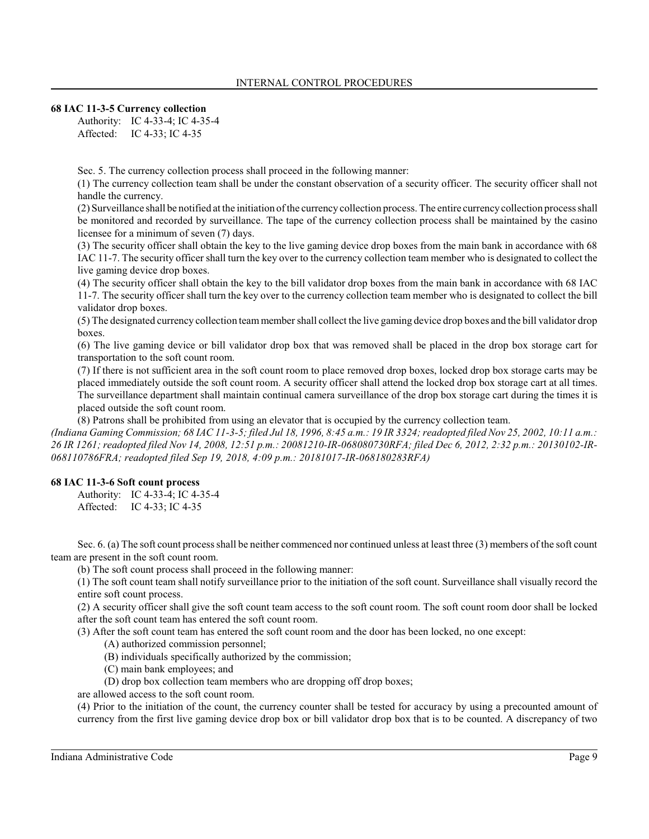## **68 IAC 11-3-5 Currency collection**

Authority: IC 4-33-4; IC 4-35-4 Affected: IC 4-33; IC 4-35

Sec. 5. The currency collection process shall proceed in the following manner:

(1) The currency collection team shall be under the constant observation of a security officer. The security officer shall not handle the currency.

(2) Surveillance shall be notified at the initiation of the currency collection process. The entire currencycollection process shall be monitored and recorded by surveillance. The tape of the currency collection process shall be maintained by the casino licensee for a minimum of seven (7) days.

(3) The security officer shall obtain the key to the live gaming device drop boxes from the main bank in accordance with 68 IAC 11-7. The security officer shall turn the key over to the currency collection team member who is designated to collect the live gaming device drop boxes.

(4) The security officer shall obtain the key to the bill validator drop boxes from the main bank in accordance with 68 IAC 11-7. The security officer shall turn the key over to the currency collection team member who is designated to collect the bill validator drop boxes.

(5) The designated currency collection teammembershall collect the live gaming device drop boxes and the bill validator drop boxes.

(6) The live gaming device or bill validator drop box that was removed shall be placed in the drop box storage cart for transportation to the soft count room.

(7) If there is not sufficient area in the soft count room to place removed drop boxes, locked drop box storage carts may be placed immediately outside the soft count room. A security officer shall attend the locked drop box storage cart at all times. The surveillance department shall maintain continual camera surveillance of the drop box storage cart during the times it is placed outside the soft count room.

(8) Patrons shall be prohibited from using an elevator that is occupied by the currency collection team.

*(Indiana Gaming Commission; 68 IAC 11-3-5; filed Jul 18, 1996, 8:45 a.m.: 19 IR 3324; readopted filed Nov 25, 2002, 10:11 a.m.: 26 IR 1261; readopted filed Nov 14, 2008, 12:51 p.m.: 20081210-IR-068080730RFA; filed Dec 6, 2012, 2:32 p.m.: 20130102-IR-068110786FRA; readopted filed Sep 19, 2018, 4:09 p.m.: 20181017-IR-068180283RFA)*

## **68 IAC 11-3-6 Soft count process**

Authority: IC 4-33-4; IC 4-35-4 Affected: IC 4-33; IC 4-35

Sec. 6. (a) The soft count process shall be neither commenced nor continued unless at least three (3) members of the soft count team are present in the soft count room.

(b) The soft count process shall proceed in the following manner:

(1) The soft count team shall notify surveillance prior to the initiation of the soft count. Surveillance shall visually record the entire soft count process.

(2) A security officer shall give the soft count team access to the soft count room. The soft count room door shall be locked after the soft count team has entered the soft count room.

(3) After the soft count team has entered the soft count room and the door has been locked, no one except:

- (A) authorized commission personnel;
- (B) individuals specifically authorized by the commission;
- (C) main bank employees; and
- (D) drop box collection team members who are dropping off drop boxes;

are allowed access to the soft count room.

(4) Prior to the initiation of the count, the currency counter shall be tested for accuracy by using a precounted amount of currency from the first live gaming device drop box or bill validator drop box that is to be counted. A discrepancy of two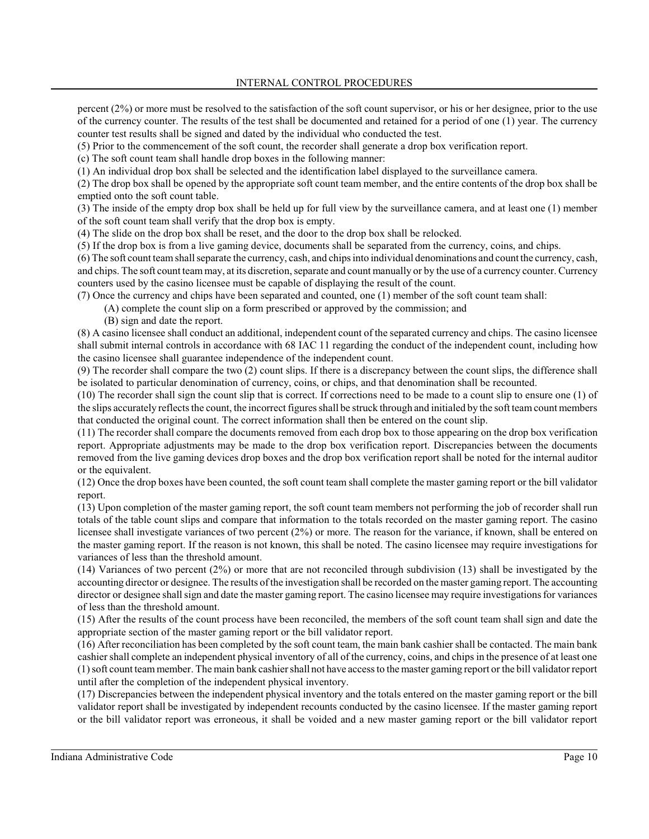percent (2%) or more must be resolved to the satisfaction of the soft count supervisor, or his or her designee, prior to the use of the currency counter. The results of the test shall be documented and retained for a period of one (1) year. The currency counter test results shall be signed and dated by the individual who conducted the test.

(5) Prior to the commencement of the soft count, the recorder shall generate a drop box verification report.

(c) The soft count team shall handle drop boxes in the following manner:

(1) An individual drop box shall be selected and the identification label displayed to the surveillance camera.

(2) The drop box shall be opened by the appropriate soft count team member, and the entire contents of the drop box shall be emptied onto the soft count table.

(3) The inside of the empty drop box shall be held up for full view by the surveillance camera, and at least one (1) member of the soft count team shall verify that the drop box is empty.

(4) The slide on the drop box shall be reset, and the door to the drop box shall be relocked.

(5) If the drop box is from a live gaming device, documents shall be separated from the currency, coins, and chips.

(6) The soft count teamshall separate the currency, cash, and chips into individual denominations and count the currency, cash, and chips. The soft count teammay, at its discretion, separate and count manually or by the use of a currency counter. Currency counters used by the casino licensee must be capable of displaying the result of the count.

(7) Once the currency and chips have been separated and counted, one (1) member of the soft count team shall:

(A) complete the count slip on a form prescribed or approved by the commission; and

(B) sign and date the report.

(8) A casino licensee shall conduct an additional, independent count of the separated currency and chips. The casino licensee shall submit internal controls in accordance with 68 IAC 11 regarding the conduct of the independent count, including how the casino licensee shall guarantee independence of the independent count.

(9) The recorder shall compare the two (2) count slips. If there is a discrepancy between the count slips, the difference shall be isolated to particular denomination of currency, coins, or chips, and that denomination shall be recounted.

(10) The recorder shall sign the count slip that is correct. If corrections need to be made to a count slip to ensure one (1) of the slips accurately reflects the count, the incorrect figures shall be struck through and initialed by the soft teamcount members that conducted the original count. The correct information shall then be entered on the count slip.

(11) The recorder shall compare the documents removed from each drop box to those appearing on the drop box verification report. Appropriate adjustments may be made to the drop box verification report. Discrepancies between the documents removed from the live gaming devices drop boxes and the drop box verification report shall be noted for the internal auditor or the equivalent.

(12) Once the drop boxes have been counted, the soft count team shall complete the master gaming report or the bill validator report.

(13) Upon completion of the master gaming report, the soft count team members not performing the job of recorder shall run totals of the table count slips and compare that information to the totals recorded on the master gaming report. The casino licensee shall investigate variances of two percent (2%) or more. The reason for the variance, if known, shall be entered on the master gaming report. If the reason is not known, this shall be noted. The casino licensee may require investigations for variances of less than the threshold amount.

(14) Variances of two percent (2%) or more that are not reconciled through subdivision (13) shall be investigated by the accounting director or designee. The results of the investigation shall be recorded on the master gaming report. The accounting director or designee shall sign and date the master gaming report. The casino licensee may require investigations for variances of less than the threshold amount.

(15) After the results of the count process have been reconciled, the members of the soft count team shall sign and date the appropriate section of the master gaming report or the bill validator report.

(16) After reconciliation has been completed by the soft count team, the main bank cashier shall be contacted. The main bank cashier shall complete an independent physical inventory of all of the currency, coins, and chips in the presence of at least one (1) soft count teammember. The main bank cashier shall not have access to the master gaming report or the bill validator report until after the completion of the independent physical inventory.

(17) Discrepancies between the independent physical inventory and the totals entered on the master gaming report or the bill validator report shall be investigated by independent recounts conducted by the casino licensee. If the master gaming report or the bill validator report was erroneous, it shall be voided and a new master gaming report or the bill validator report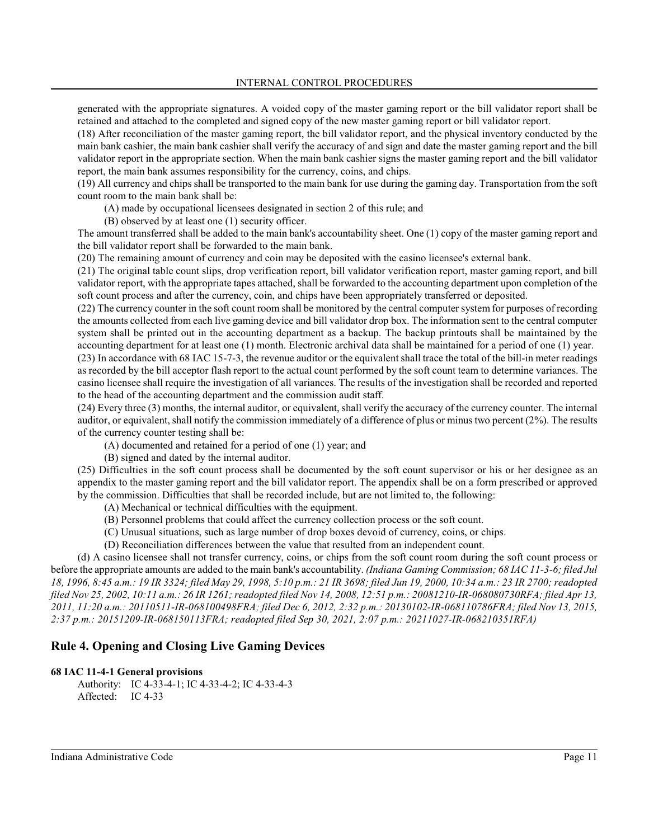generated with the appropriate signatures. A voided copy of the master gaming report or the bill validator report shall be retained and attached to the completed and signed copy of the new master gaming report or bill validator report.

(18) After reconciliation of the master gaming report, the bill validator report, and the physical inventory conducted by the main bank cashier, the main bank cashier shall verify the accuracy of and sign and date the master gaming report and the bill validator report in the appropriate section. When the main bank cashier signs the master gaming report and the bill validator report, the main bank assumes responsibility for the currency, coins, and chips.

(19) All currency and chips shall be transported to the main bank for use during the gaming day. Transportation from the soft count room to the main bank shall be:

(A) made by occupational licensees designated in section 2 of this rule; and

(B) observed by at least one (1) security officer.

The amount transferred shall be added to the main bank's accountability sheet. One (1) copy of the master gaming report and the bill validator report shall be forwarded to the main bank.

(20) The remaining amount of currency and coin may be deposited with the casino licensee's external bank.

(21) The original table count slips, drop verification report, bill validator verification report, master gaming report, and bill validator report, with the appropriate tapes attached, shall be forwarded to the accounting department upon completion of the soft count process and after the currency, coin, and chips have been appropriately transferred or deposited.

(22) The currency counter in the soft count room shall be monitored by the central computer system for purposes of recording the amounts collected from each live gaming device and bill validator drop box. The information sent to the central computer system shall be printed out in the accounting department as a backup. The backup printouts shall be maintained by the accounting department for at least one (1) month. Electronic archival data shall be maintained for a period of one (1) year. (23) In accordance with 68 IAC 15-7-3, the revenue auditor or the equivalent shall trace the total of the bill-in meter readings as recorded by the bill acceptor flash report to the actual count performed by the soft count team to determine variances. The casino licensee shall require the investigation of all variances. The results of the investigation shall be recorded and reported to the head of the accounting department and the commission audit staff.

(24) Every three (3) months, the internal auditor, or equivalent, shall verify the accuracy of the currency counter. The internal auditor, or equivalent, shall notify the commission immediately of a difference of plus or minus two percent (2%). The results of the currency counter testing shall be:

(A) documented and retained for a period of one (1) year; and

(B) signed and dated by the internal auditor.

(25) Difficulties in the soft count process shall be documented by the soft count supervisor or his or her designee as an appendix to the master gaming report and the bill validator report. The appendix shall be on a form prescribed or approved by the commission. Difficulties that shall be recorded include, but are not limited to, the following:

- (A) Mechanical or technical difficulties with the equipment.
- (B) Personnel problems that could affect the currency collection process or the soft count.
- (C) Unusual situations, such as large number of drop boxes devoid of currency, coins, or chips.
- (D) Reconciliation differences between the value that resulted from an independent count.

(d) A casino licensee shall not transfer currency, coins, or chips from the soft count room during the soft count process or before the appropriate amounts are added to the main bank's accountability. *(Indiana Gaming Commission; 68 IAC 11-3-6; filed Jul 18, 1996, 8:45 a.m.: 19 IR 3324; filed May 29, 1998, 5:10 p.m.: 21 IR 3698; filed Jun 19, 2000, 10:34 a.m.: 23 IR 2700; readopted filed Nov 25, 2002, 10:11 a.m.: 26 IR 1261; readopted filed Nov 14, 2008, 12:51 p.m.: 20081210-IR-068080730RFA; filed Apr 13, 2011, 11:20 a.m.: 20110511-IR-068100498FRA; filed Dec 6, 2012, 2:32 p.m.: 20130102-IR-068110786FRA; filed Nov 13, 2015, 2:37 p.m.: 20151209-IR-068150113FRA; readopted filed Sep 30, 2021, 2:07 p.m.: 20211027-IR-068210351RFA)*

# **Rule 4. Opening and Closing Live Gaming Devices**

## **68 IAC 11-4-1 General provisions**

Authority: IC 4-33-4-1; IC 4-33-4-2; IC 4-33-4-3 Affected: IC 4-33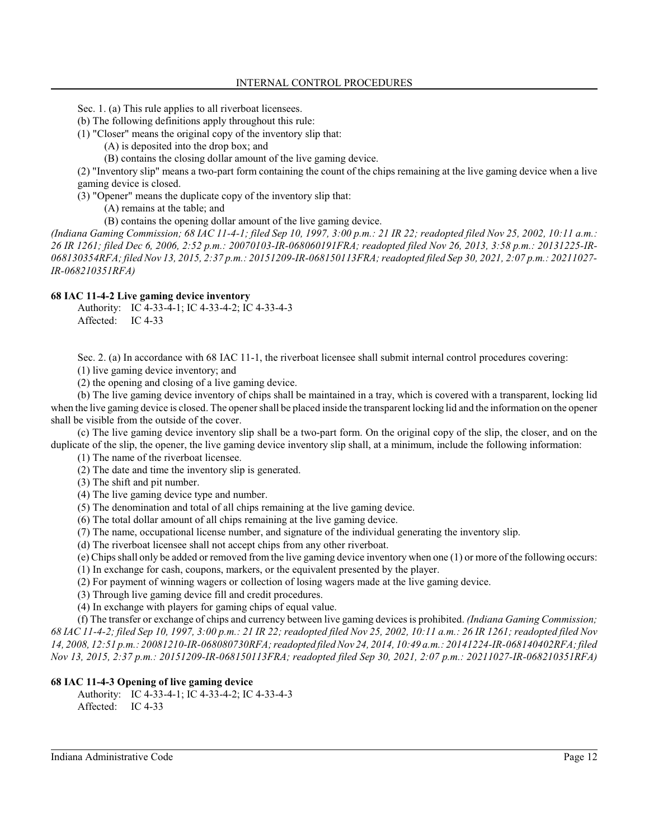- Sec. 1. (a) This rule applies to all riverboat licensees.
- (b) The following definitions apply throughout this rule:
- (1) "Closer" means the original copy of the inventory slip that:
	- (A) is deposited into the drop box; and
	- (B) contains the closing dollar amount of the live gaming device.

(2) "Inventory slip" means a two-part form containing the count of the chips remaining at the live gaming device when a live gaming device is closed.

(3) "Opener" means the duplicate copy of the inventory slip that:

(A) remains at the table; and

(B) contains the opening dollar amount of the live gaming device.

*(Indiana Gaming Commission; 68 IAC 11-4-1; filed Sep 10, 1997, 3:00 p.m.: 21 IR 22; readopted filed Nov 25, 2002, 10:11 a.m.: 26 IR 1261; filed Dec 6, 2006, 2:52 p.m.: 20070103-IR-068060191FRA; readopted filed Nov 26, 2013, 3:58 p.m.: 20131225-IR-068130354RFA; filed Nov 13, 2015, 2:37 p.m.: 20151209-IR-068150113FRA; readopted filed Sep 30, 2021, 2:07 p.m.: 20211027- IR-068210351RFA)*

#### **68 IAC 11-4-2 Live gaming device inventory**

Authority: IC 4-33-4-1; IC 4-33-4-2; IC 4-33-4-3 Affected: IC 4-33

Sec. 2. (a) In accordance with 68 IAC 11-1, the riverboat licensee shall submit internal control procedures covering:

(1) live gaming device inventory; and

(2) the opening and closing of a live gaming device.

(b) The live gaming device inventory of chips shall be maintained in a tray, which is covered with a transparent, locking lid when the live gaming device is closed. The opener shall be placed inside the transparent locking lid and the information on the opener shall be visible from the outside of the cover.

(c) The live gaming device inventory slip shall be a two-part form. On the original copy of the slip, the closer, and on the duplicate of the slip, the opener, the live gaming device inventory slip shall, at a minimum, include the following information:

(1) The name of the riverboat licensee.

(2) The date and time the inventory slip is generated.

(3) The shift and pit number.

(4) The live gaming device type and number.

- (5) The denomination and total of all chips remaining at the live gaming device.
- (6) The total dollar amount of all chips remaining at the live gaming device.
- (7) The name, occupational license number, and signature of the individual generating the inventory slip.

(d) The riverboat licensee shall not accept chips from any other riverboat.

(e) Chips shall only be added or removed from the live gaming device inventory when one (1) or more of the following occurs:

(1) In exchange for cash, coupons, markers, or the equivalent presented by the player.

(2) For payment of winning wagers or collection of losing wagers made at the live gaming device.

(3) Through live gaming device fill and credit procedures.

(4) In exchange with players for gaming chips of equal value.

(f) The transfer or exchange of chips and currency between live gaming devices is prohibited. *(Indiana Gaming Commission; 68 IAC 11-4-2; filed Sep 10, 1997, 3:00 p.m.: 21 IR 22; readopted filed Nov 25, 2002, 10:11 a.m.: 26 IR 1261; readopted filed Nov 14, 2008, 12:51 p.m.: 20081210-IR-068080730RFA; readopted filed Nov 24, 2014, 10:49 a.m.: 20141224-IR-068140402RFA; filed Nov 13, 2015, 2:37 p.m.: 20151209-IR-068150113FRA; readopted filed Sep 30, 2021, 2:07 p.m.: 20211027-IR-068210351RFA)*

#### **68 IAC 11-4-3 Opening of live gaming device**

Authority: IC 4-33-4-1; IC 4-33-4-2; IC 4-33-4-3

Affected: IC 4-33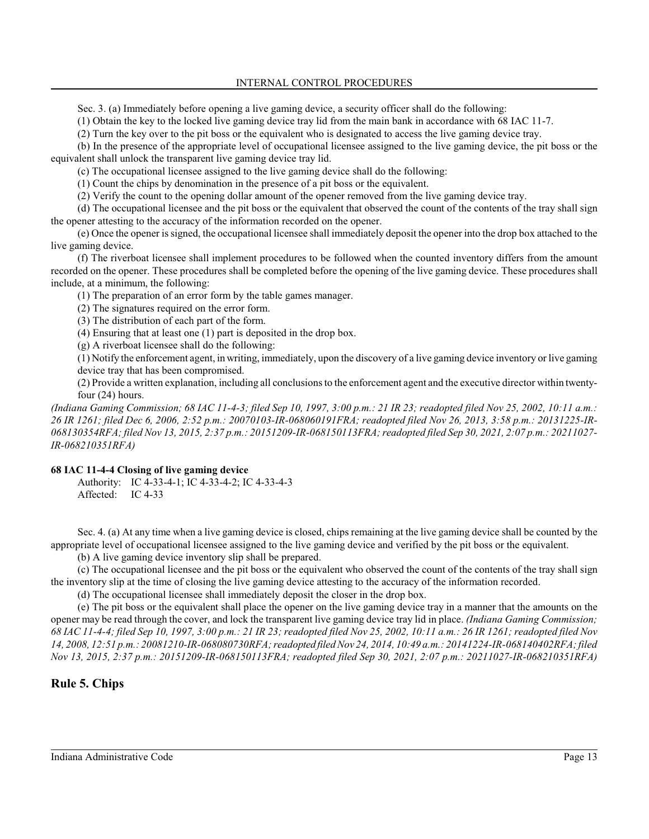INTERNAL CONTROL PROCEDURES

Sec. 3. (a) Immediately before opening a live gaming device, a security officer shall do the following:

(1) Obtain the key to the locked live gaming device tray lid from the main bank in accordance with 68 IAC 11-7.

(2) Turn the key over to the pit boss or the equivalent who is designated to access the live gaming device tray.

(b) In the presence of the appropriate level of occupational licensee assigned to the live gaming device, the pit boss or the equivalent shall unlock the transparent live gaming device tray lid.

(c) The occupational licensee assigned to the live gaming device shall do the following:

(1) Count the chips by denomination in the presence of a pit boss or the equivalent.

(2) Verify the count to the opening dollar amount of the opener removed from the live gaming device tray.

(d) The occupational licensee and the pit boss or the equivalent that observed the count of the contents of the tray shall sign the opener attesting to the accuracy of the information recorded on the opener.

(e) Once the opener is signed, the occupational licensee shall immediately deposit the opener into the drop box attached to the live gaming device.

(f) The riverboat licensee shall implement procedures to be followed when the counted inventory differs from the amount recorded on the opener. These procedures shall be completed before the opening of the live gaming device. These procedures shall include, at a minimum, the following:

(1) The preparation of an error form by the table games manager.

(2) The signatures required on the error form.

(3) The distribution of each part of the form.

(4) Ensuring that at least one (1) part is deposited in the drop box.

(g) A riverboat licensee shall do the following:

(1) Notify the enforcement agent, in writing, immediately, upon the discovery of a live gaming device inventory or live gaming device tray that has been compromised.

(2) Provide a written explanation, including all conclusionsto the enforcement agent and the executive director within twentyfour (24) hours.

*(Indiana Gaming Commission; 68 IAC 11-4-3; filed Sep 10, 1997, 3:00 p.m.: 21 IR 23; readopted filed Nov 25, 2002, 10:11 a.m.: 26 IR 1261; filed Dec 6, 2006, 2:52 p.m.: 20070103-IR-068060191FRA; readopted filed Nov 26, 2013, 3:58 p.m.: 20131225-IR-068130354RFA; filed Nov 13, 2015, 2:37 p.m.: 20151209-IR-068150113FRA; readopted filed Sep 30, 2021, 2:07 p.m.: 20211027- IR-068210351RFA)*

## **68 IAC 11-4-4 Closing of live gaming device**

Authority: IC 4-33-4-1; IC 4-33-4-2; IC 4-33-4-3 Affected: IC 4-33

Sec. 4. (a) At any time when a live gaming device is closed, chips remaining at the live gaming device shall be counted by the appropriate level of occupational licensee assigned to the live gaming device and verified by the pit boss or the equivalent.

(b) A live gaming device inventory slip shall be prepared.

(c) The occupational licensee and the pit boss or the equivalent who observed the count of the contents of the tray shall sign the inventory slip at the time of closing the live gaming device attesting to the accuracy of the information recorded.

(d) The occupational licensee shall immediately deposit the closer in the drop box.

(e) The pit boss or the equivalent shall place the opener on the live gaming device tray in a manner that the amounts on the opener may be read through the cover, and lock the transparent live gaming device tray lid in place. *(Indiana Gaming Commission; 68 IAC 11-4-4; filed Sep 10, 1997, 3:00 p.m.: 21 IR 23; readopted filed Nov 25, 2002, 10:11 a.m.: 26 IR 1261; readopted filed Nov 14, 2008, 12:51 p.m.: 20081210-IR-068080730RFA; readopted filed Nov 24, 2014, 10:49 a.m.: 20141224-IR-068140402RFA; filed Nov 13, 2015, 2:37 p.m.: 20151209-IR-068150113FRA; readopted filed Sep 30, 2021, 2:07 p.m.: 20211027-IR-068210351RFA)*

# **Rule 5. Chips**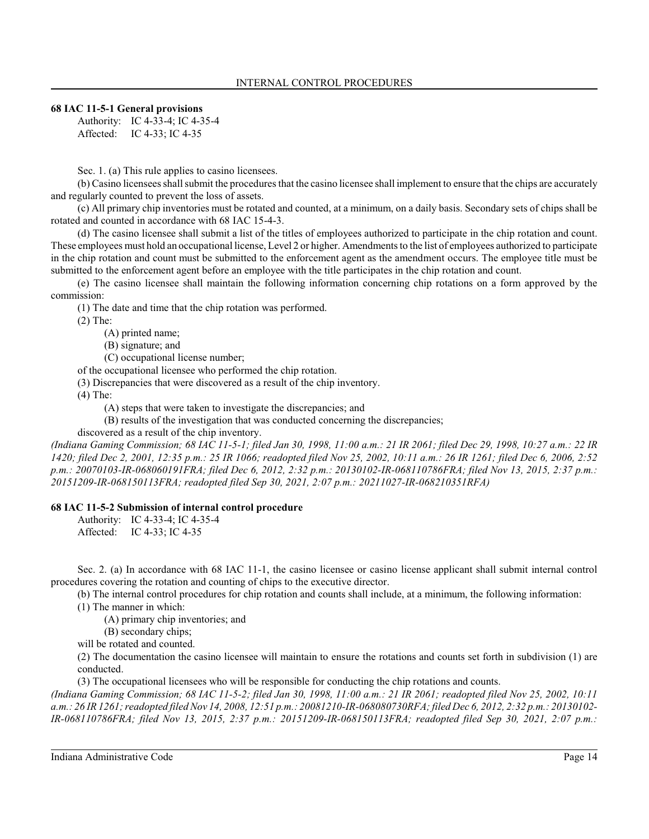## **68 IAC 11-5-1 General provisions**

Authority: IC 4-33-4; IC 4-35-4 Affected: IC 4-33; IC 4-35

Sec. 1. (a) This rule applies to casino licensees.

(b) Casino licensees shall submit the procedures that the casino licensee shall implement to ensure that the chips are accurately and regularly counted to prevent the loss of assets.

(c) All primary chip inventories must be rotated and counted, at a minimum, on a daily basis. Secondary sets of chips shall be rotated and counted in accordance with 68 IAC 15-4-3.

(d) The casino licensee shall submit a list of the titles of employees authorized to participate in the chip rotation and count. These employees must hold an occupational license, Level 2 or higher. Amendments to the list of employees authorized to participate in the chip rotation and count must be submitted to the enforcement agent as the amendment occurs. The employee title must be submitted to the enforcement agent before an employee with the title participates in the chip rotation and count.

(e) The casino licensee shall maintain the following information concerning chip rotations on a form approved by the commission:

(1) The date and time that the chip rotation was performed.

(2) The:

(A) printed name;

(B) signature; and

(C) occupational license number;

of the occupational licensee who performed the chip rotation.

(3) Discrepancies that were discovered as a result of the chip inventory.

(4) The:

(A) steps that were taken to investigate the discrepancies; and

(B) results of the investigation that was conducted concerning the discrepancies;

discovered as a result of the chip inventory.

*(Indiana Gaming Commission; 68 IAC 11-5-1; filed Jan 30, 1998, 11:00 a.m.: 21 IR 2061; filed Dec 29, 1998, 10:27 a.m.: 22 IR 1420; filed Dec 2, 2001, 12:35 p.m.: 25 IR 1066; readopted filed Nov 25, 2002, 10:11 a.m.: 26 IR 1261; filed Dec 6, 2006, 2:52 p.m.: 20070103-IR-068060191FRA; filed Dec 6, 2012, 2:32 p.m.: 20130102-IR-068110786FRA; filed Nov 13, 2015, 2:37 p.m.: 20151209-IR-068150113FRA; readopted filed Sep 30, 2021, 2:07 p.m.: 20211027-IR-068210351RFA)*

## **68 IAC 11-5-2 Submission of internal control procedure**

Authority: IC 4-33-4; IC 4-35-4 Affected: IC 4-33; IC 4-35

Sec. 2. (a) In accordance with 68 IAC 11-1, the casino licensee or casino license applicant shall submit internal control procedures covering the rotation and counting of chips to the executive director.

(b) The internal control procedures for chip rotation and counts shall include, at a minimum, the following information:

(1) The manner in which:

(A) primary chip inventories; and

(B) secondary chips;

will be rotated and counted.

(2) The documentation the casino licensee will maintain to ensure the rotations and counts set forth in subdivision (1) are conducted.

(3) The occupational licensees who will be responsible for conducting the chip rotations and counts.

*(Indiana Gaming Commission; 68 IAC 11-5-2; filed Jan 30, 1998, 11:00 a.m.: 21 IR 2061; readopted filed Nov 25, 2002, 10:11 a.m.: 26 IR 1261; readopted filed Nov 14, 2008, 12:51 p.m.: 20081210-IR-068080730RFA; filed Dec 6, 2012, 2:32 p.m.: 20130102- IR-068110786FRA; filed Nov 13, 2015, 2:37 p.m.: 20151209-IR-068150113FRA; readopted filed Sep 30, 2021, 2:07 p.m.:*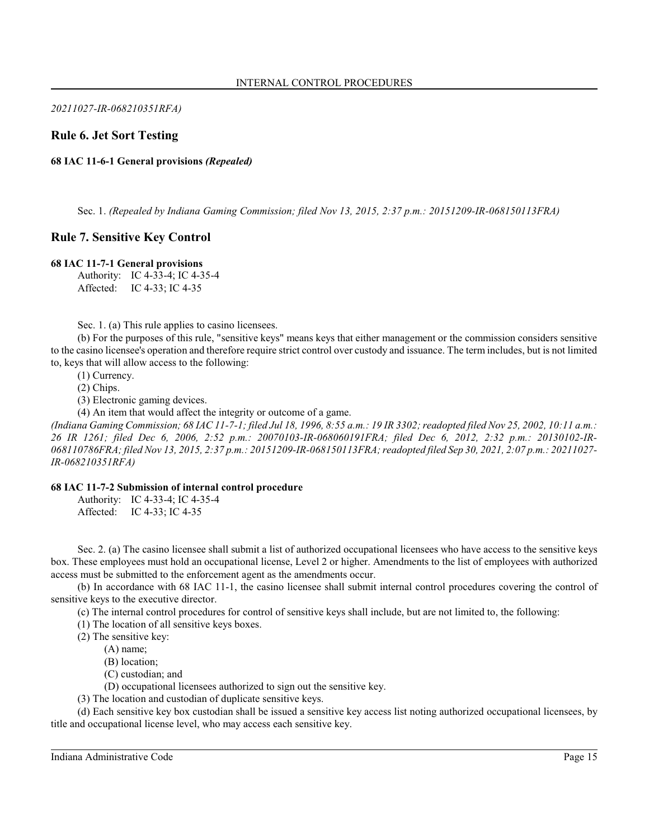*20211027-IR-068210351RFA)*

# **Rule 6. Jet Sort Testing**

**68 IAC 11-6-1 General provisions** *(Repealed)*

Sec. 1. *(Repealed by Indiana Gaming Commission; filed Nov 13, 2015, 2:37 p.m.: 20151209-IR-068150113FRA)*

## **Rule 7. Sensitive Key Control**

#### **68 IAC 11-7-1 General provisions**

Authority: IC 4-33-4; IC 4-35-4 Affected: IC 4-33; IC 4-35

Sec. 1. (a) This rule applies to casino licensees.

(b) For the purposes of this rule, "sensitive keys" means keys that either management or the commission considers sensitive to the casino licensee's operation and therefore require strict control over custody and issuance. The term includes, but is not limited to, keys that will allow access to the following:

(1) Currency.

(2) Chips.

(3) Electronic gaming devices.

(4) An item that would affect the integrity or outcome of a game.

*(Indiana Gaming Commission; 68 IAC 11-7-1; filed Jul 18, 1996, 8:55 a.m.: 19 IR 3302; readopted filed Nov 25, 2002, 10:11 a.m.: 26 IR 1261; filed Dec 6, 2006, 2:52 p.m.: 20070103-IR-068060191FRA; filed Dec 6, 2012, 2:32 p.m.: 20130102-IR-068110786FRA; filed Nov 13, 2015, 2:37 p.m.: 20151209-IR-068150113FRA; readopted filed Sep 30, 2021, 2:07 p.m.: 20211027- IR-068210351RFA)*

#### **68 IAC 11-7-2 Submission of internal control procedure**

Authority: IC 4-33-4; IC 4-35-4 Affected: IC 4-33; IC 4-35

Sec. 2. (a) The casino licensee shall submit a list of authorized occupational licensees who have access to the sensitive keys box. These employees must hold an occupational license, Level 2 or higher. Amendments to the list of employees with authorized access must be submitted to the enforcement agent as the amendments occur.

(b) In accordance with 68 IAC 11-1, the casino licensee shall submit internal control procedures covering the control of sensitive keys to the executive director.

(c) The internal control procedures for control of sensitive keys shall include, but are not limited to, the following:

(1) The location of all sensitive keys boxes.

(2) The sensitive key:

(A) name;

(B) location;

(C) custodian; and

(D) occupational licensees authorized to sign out the sensitive key.

(3) The location and custodian of duplicate sensitive keys.

(d) Each sensitive key box custodian shall be issued a sensitive key access list noting authorized occupational licensees, by title and occupational license level, who may access each sensitive key.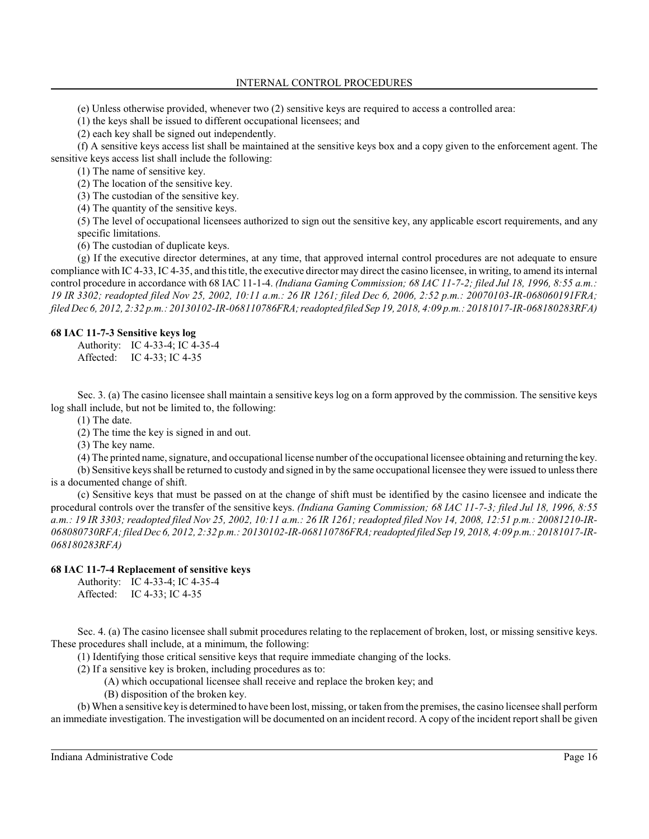(e) Unless otherwise provided, whenever two (2) sensitive keys are required to access a controlled area:

(1) the keys shall be issued to different occupational licensees; and

(2) each key shall be signed out independently.

(f) A sensitive keys access list shall be maintained at the sensitive keys box and a copy given to the enforcement agent. The sensitive keys access list shall include the following:

(1) The name of sensitive key.

(2) The location of the sensitive key.

(3) The custodian of the sensitive key.

(4) The quantity of the sensitive keys.

(5) The level of occupational licensees authorized to sign out the sensitive key, any applicable escort requirements, and any specific limitations.

(6) The custodian of duplicate keys.

(g) If the executive director determines, at any time, that approved internal control procedures are not adequate to ensure compliance with IC 4-33, IC 4-35, and thistitle, the executive director may direct the casino licensee, in writing, to amend its internal control procedure in accordance with 68 IAC 11-1-4. *(Indiana Gaming Commission; 68 IAC 11-7-2; filed Jul 18, 1996, 8:55 a.m.: 19 IR 3302; readopted filed Nov 25, 2002, 10:11 a.m.: 26 IR 1261; filed Dec 6, 2006, 2:52 p.m.: 20070103-IR-068060191FRA; filed Dec 6, 2012, 2:32 p.m.: 20130102-IR-068110786FRA;readopted filed Sep 19, 2018, 4:09 p.m.: 20181017-IR-068180283RFA)*

#### **68 IAC 11-7-3 Sensitive keys log**

Authority: IC 4-33-4; IC 4-35-4 Affected: IC 4-33; IC 4-35

Sec. 3. (a) The casino licensee shall maintain a sensitive keys log on a form approved by the commission. The sensitive keys log shall include, but not be limited to, the following:

(1) The date.

(2) The time the key is signed in and out.

(3) The key name.

(4) The printed name, signature, and occupational license number of the occupational licensee obtaining and returning the key.

(b) Sensitive keys shall be returned to custody and signed in by the same occupational licensee they were issued to unless there is a documented change of shift.

(c) Sensitive keys that must be passed on at the change of shift must be identified by the casino licensee and indicate the procedural controls over the transfer of the sensitive keys. *(Indiana Gaming Commission; 68 IAC 11-7-3; filed Jul 18, 1996, 8:55 a.m.: 19 IR 3303; readopted filed Nov 25, 2002, 10:11 a.m.: 26 IR 1261; readopted filed Nov 14, 2008, 12:51 p.m.: 20081210-IR-068080730RFA; filed Dec 6, 2012, 2:32 p.m.: 20130102-IR-068110786FRA;readopted filed Sep 19, 2018, 4:09 p.m.: 20181017-IR-068180283RFA)*

## **68 IAC 11-7-4 Replacement of sensitive keys**

Authority: IC 4-33-4; IC 4-35-4 Affected: IC 4-33; IC 4-35

Sec. 4. (a) The casino licensee shall submit procedures relating to the replacement of broken, lost, or missing sensitive keys. These procedures shall include, at a minimum, the following:

(1) Identifying those critical sensitive keys that require immediate changing of the locks.

(2) If a sensitive key is broken, including procedures as to:

(A) which occupational licensee shall receive and replace the broken key; and

(B) disposition of the broken key.

(b) When a sensitive key is determined to have been lost, missing, or taken fromthe premises, the casino licensee shall perform an immediate investigation. The investigation will be documented on an incident record. A copy of the incident report shall be given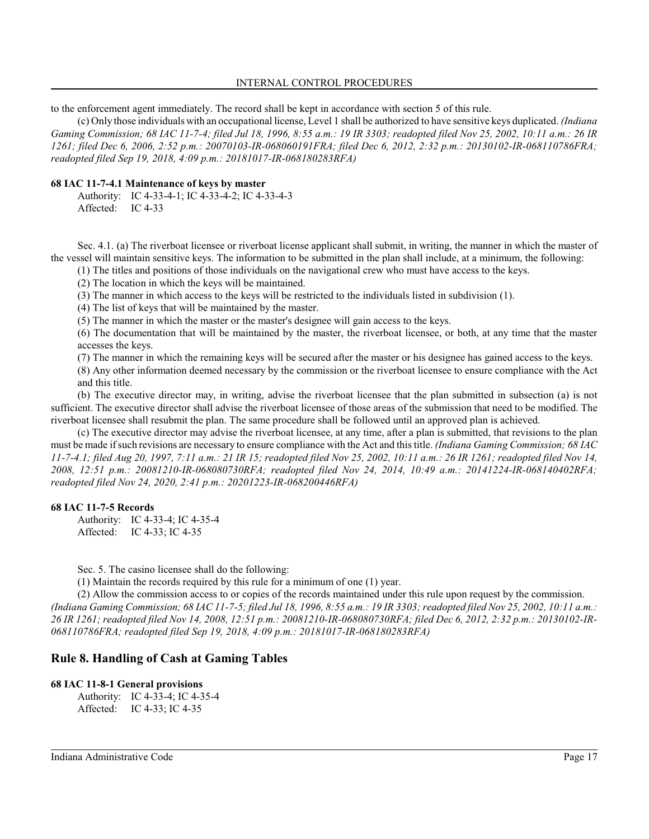to the enforcement agent immediately. The record shall be kept in accordance with section 5 of this rule.

(c) Only those individuals with an occupational license, Level 1 shall be authorized to have sensitive keys duplicated. *(Indiana Gaming Commission; 68 IAC 11-7-4; filed Jul 18, 1996, 8:55 a.m.: 19 IR 3303; readopted filed Nov 25, 2002, 10:11 a.m.: 26 IR 1261; filed Dec 6, 2006, 2:52 p.m.: 20070103-IR-068060191FRA; filed Dec 6, 2012, 2:32 p.m.: 20130102-IR-068110786FRA; readopted filed Sep 19, 2018, 4:09 p.m.: 20181017-IR-068180283RFA)*

#### **68 IAC 11-7-4.1 Maintenance of keys by master**

Authority: IC 4-33-4-1; IC 4-33-4-2; IC 4-33-4-3 Affected: IC 4-33

Sec. 4.1. (a) The riverboat licensee or riverboat license applicant shall submit, in writing, the manner in which the master of the vessel will maintain sensitive keys. The information to be submitted in the plan shall include, at a minimum, the following:

(1) The titles and positions of those individuals on the navigational crew who must have access to the keys.

(2) The location in which the keys will be maintained.

(3) The manner in which access to the keys will be restricted to the individuals listed in subdivision (1).

(4) The list of keys that will be maintained by the master.

(5) The manner in which the master or the master's designee will gain access to the keys.

(6) The documentation that will be maintained by the master, the riverboat licensee, or both, at any time that the master accesses the keys.

(7) The manner in which the remaining keys will be secured after the master or his designee has gained access to the keys.

(8) Any other information deemed necessary by the commission or the riverboat licensee to ensure compliance with the Act and this title.

(b) The executive director may, in writing, advise the riverboat licensee that the plan submitted in subsection (a) is not sufficient. The executive director shall advise the riverboat licensee of those areas of the submission that need to be modified. The riverboat licensee shall resubmit the plan. The same procedure shall be followed until an approved plan is achieved.

(c) The executive director may advise the riverboat licensee, at any time, after a plan is submitted, that revisions to the plan must be made if such revisions are necessary to ensure compliance with the Act and thistitle. *(Indiana Gaming Commission; 68 IAC 11-7-4.1; filed Aug 20, 1997, 7:11 a.m.: 21 IR 15; readopted filed Nov 25, 2002, 10:11 a.m.: 26 IR 1261; readopted filed Nov 14, 2008, 12:51 p.m.: 20081210-IR-068080730RFA; readopted filed Nov 24, 2014, 10:49 a.m.: 20141224-IR-068140402RFA; readopted filed Nov 24, 2020, 2:41 p.m.: 20201223-IR-068200446RFA)*

## **68 IAC 11-7-5 Records**

Authority: IC 4-33-4; IC 4-35-4 Affected: IC 4-33; IC 4-35

Sec. 5. The casino licensee shall do the following:

(1) Maintain the records required by this rule for a minimum of one (1) year.

(2) Allow the commission access to or copies of the records maintained under this rule upon request by the commission. *(Indiana Gaming Commission; 68 IAC 11-7-5; filed Jul 18, 1996, 8:55 a.m.: 19 IR 3303; readopted filed Nov 25, 2002, 10:11 a.m.: 26 IR 1261; readopted filed Nov 14, 2008, 12:51 p.m.: 20081210-IR-068080730RFA; filed Dec 6, 2012, 2:32 p.m.: 20130102-IR-068110786FRA; readopted filed Sep 19, 2018, 4:09 p.m.: 20181017-IR-068180283RFA)*

# **Rule 8. Handling of Cash at Gaming Tables**

#### **68 IAC 11-8-1 General provisions**

Authority: IC 4-33-4; IC 4-35-4 Affected: IC 4-33; IC 4-35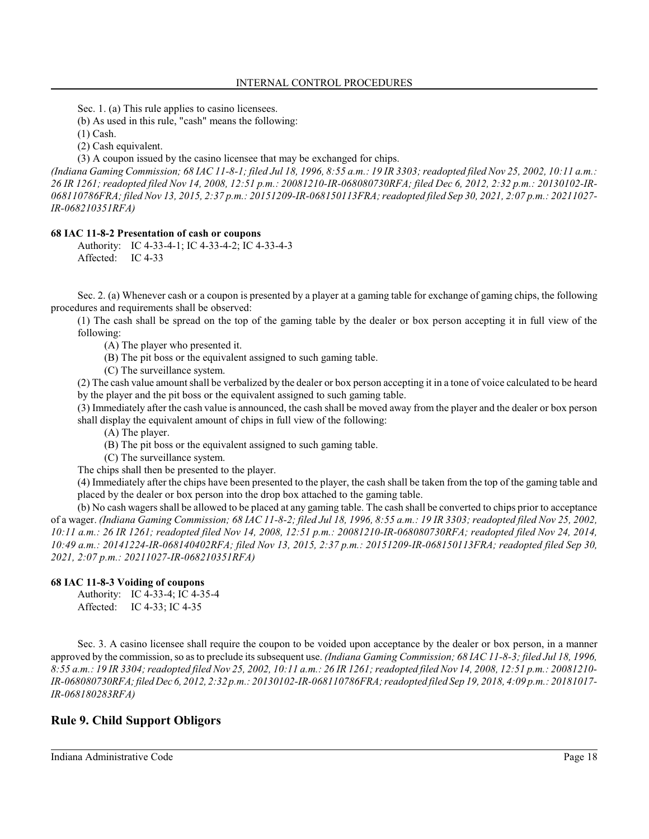Sec. 1. (a) This rule applies to casino licensees.

(b) As used in this rule, "cash" means the following:

(1) Cash.

(2) Cash equivalent.

(3) A coupon issued by the casino licensee that may be exchanged for chips.

*(Indiana Gaming Commission; 68 IAC 11-8-1; filed Jul 18, 1996, 8:55 a.m.: 19 IR 3303; readopted filed Nov 25, 2002, 10:11 a.m.: 26 IR 1261; readopted filed Nov 14, 2008, 12:51 p.m.: 20081210-IR-068080730RFA; filed Dec 6, 2012, 2:32 p.m.: 20130102-IR-068110786FRA; filed Nov 13, 2015, 2:37 p.m.: 20151209-IR-068150113FRA; readopted filed Sep 30, 2021, 2:07 p.m.: 20211027- IR-068210351RFA)*

#### **68 IAC 11-8-2 Presentation of cash or coupons**

Authority: IC 4-33-4-1; IC 4-33-4-2; IC 4-33-4-3 Affected: IC 4-33

Sec. 2. (a) Whenever cash or a coupon is presented by a player at a gaming table for exchange of gaming chips, the following procedures and requirements shall be observed:

(1) The cash shall be spread on the top of the gaming table by the dealer or box person accepting it in full view of the following:

- (A) The player who presented it.
- (B) The pit boss or the equivalent assigned to such gaming table.
- (C) The surveillance system.

(2) The cash value amount shall be verbalized by the dealer or box person accepting it in a tone of voice calculated to be heard by the player and the pit boss or the equivalent assigned to such gaming table.

(3) Immediately after the cash value is announced, the cash shall be moved away from the player and the dealer or box person shall display the equivalent amount of chips in full view of the following:

- (A) The player.
- (B) The pit boss or the equivalent assigned to such gaming table.
- (C) The surveillance system.

The chips shall then be presented to the player.

(4) Immediately after the chips have been presented to the player, the cash shall be taken from the top of the gaming table and placed by the dealer or box person into the drop box attached to the gaming table.

(b) No cash wagers shall be allowed to be placed at any gaming table. The cash shall be converted to chips prior to acceptance of a wager. *(Indiana Gaming Commission; 68 IAC 11-8-2; filed Jul 18, 1996, 8:55 a.m.: 19 IR 3303; readopted filed Nov 25, 2002, 10:11 a.m.: 26 IR 1261; readopted filed Nov 14, 2008, 12:51 p.m.: 20081210-IR-068080730RFA; readopted filed Nov 24, 2014, 10:49 a.m.: 20141224-IR-068140402RFA; filed Nov 13, 2015, 2:37 p.m.: 20151209-IR-068150113FRA; readopted filed Sep 30, 2021, 2:07 p.m.: 20211027-IR-068210351RFA)*

## **68 IAC 11-8-3 Voiding of coupons**

Authority: IC 4-33-4; IC 4-35-4 Affected: IC 4-33; IC 4-35

Sec. 3. A casino licensee shall require the coupon to be voided upon acceptance by the dealer or box person, in a manner approved by the commission, so as to preclude its subsequent use. *(Indiana Gaming Commission; 68 IAC 11-8-3; filed Jul 18, 1996, 8:55 a.m.: 19 IR 3304; readopted filed Nov 25, 2002, 10:11 a.m.: 26 IR 1261; readopted filed Nov 14, 2008, 12:51 p.m.: 20081210- IR-068080730RFA; filed Dec 6, 2012, 2:32 p.m.: 20130102-IR-068110786FRA; readopted filed Sep 19, 2018, 4:09 p.m.: 20181017- IR-068180283RFA)*

# **Rule 9. Child Support Obligors**

Indiana Administrative Code Page 18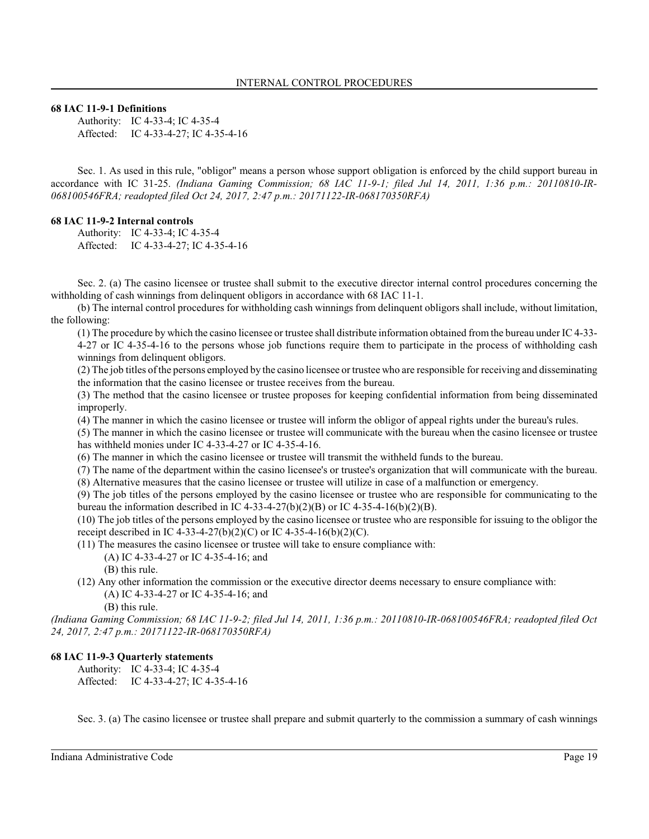#### **68 IAC 11-9-1 Definitions**

Authority: IC 4-33-4; IC 4-35-4 Affected: IC 4-33-4-27; IC 4-35-4-16

Sec. 1. As used in this rule, "obligor" means a person whose support obligation is enforced by the child support bureau in accordance with IC 31-25. *(Indiana Gaming Commission; 68 IAC 11-9-1; filed Jul 14, 2011, 1:36 p.m.: 20110810-IR-068100546FRA; readopted filed Oct 24, 2017, 2:47 p.m.: 20171122-IR-068170350RFA)*

#### **68 IAC 11-9-2 Internal controls**

Authority: IC 4-33-4; IC 4-35-4 Affected: IC 4-33-4-27; IC 4-35-4-16

Sec. 2. (a) The casino licensee or trustee shall submit to the executive director internal control procedures concerning the withholding of cash winnings from delinquent obligors in accordance with 68 IAC 11-1.

(b) The internal control procedures for withholding cash winnings from delinquent obligors shall include, without limitation, the following:

(1) The procedure by which the casino licensee or trustee shall distribute information obtained from the bureau under IC 4-33- 4-27 or IC 4-35-4-16 to the persons whose job functions require them to participate in the process of withholding cash winnings from delinquent obligors.

(2) The job titles of the persons employed by the casino licensee or trustee who are responsible for receiving and disseminating the information that the casino licensee or trustee receives from the bureau.

(3) The method that the casino licensee or trustee proposes for keeping confidential information from being disseminated improperly.

(4) The manner in which the casino licensee or trustee will inform the obligor of appeal rights under the bureau's rules.

(5) The manner in which the casino licensee or trustee will communicate with the bureau when the casino licensee or trustee has withheld monies under IC 4-33-4-27 or IC 4-35-4-16.

(6) The manner in which the casino licensee or trustee will transmit the withheld funds to the bureau.

(7) The name of the department within the casino licensee's or trustee's organization that will communicate with the bureau.

(8) Alternative measures that the casino licensee or trustee will utilize in case of a malfunction or emergency.

(9) The job titles of the persons employed by the casino licensee or trustee who are responsible for communicating to the bureau the information described in IC 4-33-4-27(b)(2)(B) or IC 4-35-4-16(b)(2)(B).

(10) The job titles of the persons employed by the casino licensee or trustee who are responsible for issuing to the obligor the receipt described in IC 4-33-4-27(b)(2)(C) or IC 4-35-4-16(b)(2)(C).

(11) The measures the casino licensee or trustee will take to ensure compliance with:

(A) IC 4-33-4-27 or IC 4-35-4-16; and

(B) this rule.

(12) Any other information the commission or the executive director deems necessary to ensure compliance with: (A) IC 4-33-4-27 or IC 4-35-4-16; and

(B) this rule.

*(Indiana Gaming Commission; 68 IAC 11-9-2; filed Jul 14, 2011, 1:36 p.m.: 20110810-IR-068100546FRA; readopted filed Oct 24, 2017, 2:47 p.m.: 20171122-IR-068170350RFA)*

#### **68 IAC 11-9-3 Quarterly statements**

Authority: IC 4-33-4; IC 4-35-4 Affected: IC 4-33-4-27; IC 4-35-4-16

Sec. 3. (a) The casino licensee or trustee shall prepare and submit quarterly to the commission a summary of cash winnings